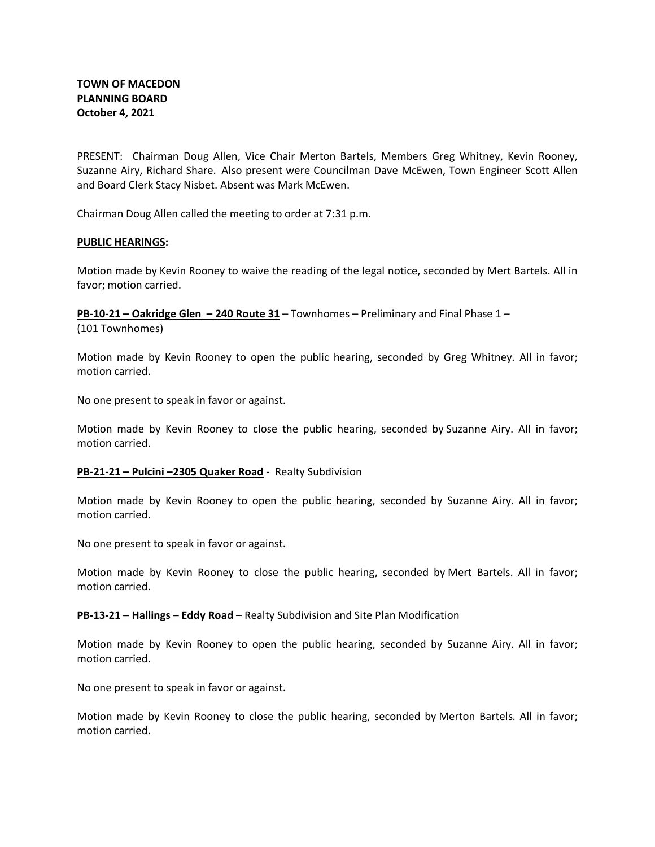PRESENT: Chairman Doug Allen, Vice Chair Merton Bartels, Members Greg Whitney, Kevin Rooney, Suzanne Airy, Richard Share. Also present were Councilman Dave McEwen, Town Engineer Scott Allen and Board Clerk Stacy Nisbet. Absent was Mark McEwen.

Chairman Doug Allen called the meeting to order at 7:31 p.m.

#### **PUBLIC HEARINGS:**

Motion made by Kevin Rooney to waive the reading of the legal notice, seconded by Mert Bartels. All in favor; motion carried.

**PB-10-21 – Oakridge Glen – 240 Route 31** – Townhomes – Preliminary and Final Phase 1 – (101 Townhomes)

Motion made by Kevin Rooney to open the public hearing, seconded by Greg Whitney. All in favor; motion carried.

No one present to speak in favor or against.

Motion made by Kevin Rooney to close the public hearing, seconded by Suzanne Airy. All in favor; motion carried.

#### **PB-21-21 – Pulcini –2305 Quaker Road -** Realty Subdivision

Motion made by Kevin Rooney to open the public hearing, seconded by Suzanne Airy. All in favor; motion carried.

No one present to speak in favor or against.

Motion made by Kevin Rooney to close the public hearing, seconded by Mert Bartels. All in favor; motion carried.

**PB-13-21 – Hallings – Eddy Road** – Realty Subdivision and Site Plan Modification

Motion made by Kevin Rooney to open the public hearing, seconded by Suzanne Airy. All in favor; motion carried.

No one present to speak in favor or against.

Motion made by Kevin Rooney to close the public hearing, seconded by Merton Bartels. All in favor; motion carried.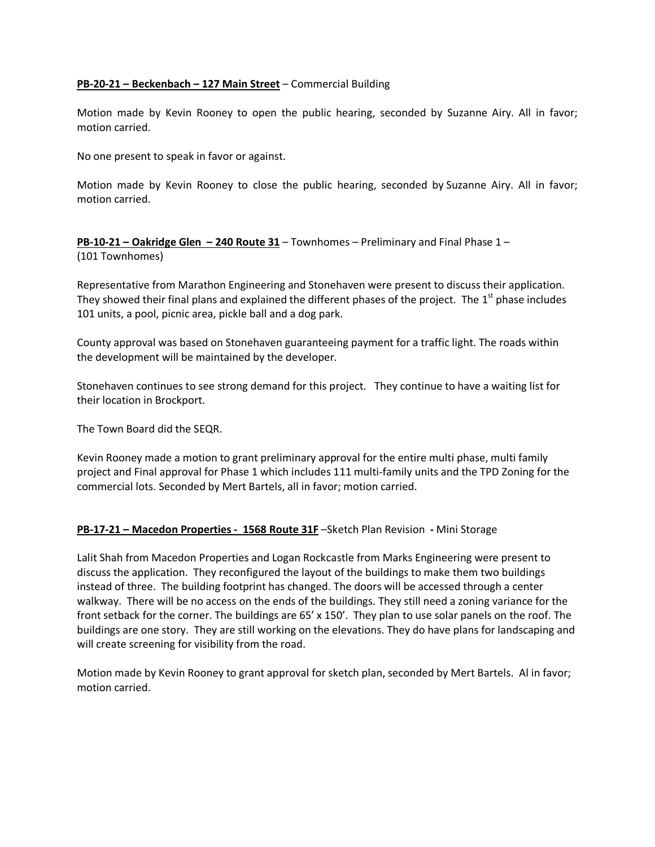## **PB-20-21 – Beckenbach – 127 Main Street** – Commercial Building

Motion made by Kevin Rooney to open the public hearing, seconded by Suzanne Airy. All in favor; motion carried.

No one present to speak in favor or against.

Motion made by Kevin Rooney to close the public hearing, seconded by Suzanne Airy. All in favor; motion carried.

**PB-10-21 – Oakridge Glen – 240 Route 31** – Townhomes – Preliminary and Final Phase 1 – (101 Townhomes)

Representative from Marathon Engineering and Stonehaven were present to discuss their application. They showed their final plans and explained the different phases of the project. The  $1<sup>st</sup>$  phase includes 101 units, a pool, picnic area, pickle ball and a dog park.

County approval was based on Stonehaven guaranteeing payment for a traffic light. The roads within the development will be maintained by the developer.

Stonehaven continues to see strong demand for this project. They continue to have a waiting list for their location in Brockport.

The Town Board did the SEQR.

Kevin Rooney made a motion to grant preliminary approval for the entire multi phase, multi family project and Final approval for Phase 1 which includes 111 multi-family units and the TPD Zoning for the commercial lots. Seconded by Mert Bartels, all in favor; motion carried.

## **PB-17-21 – Macedon Properties - 1568 Route 31F** –Sketch Plan Revision **-** Mini Storage

Lalit Shah from Macedon Properties and Logan Rockcastle from Marks Engineering were present to discuss the application. They reconfigured the layout of the buildings to make them two buildings instead of three. The building footprint has changed. The doors will be accessed through a center walkway. There will be no access on the ends of the buildings. They still need a zoning variance for the front setback for the corner. The buildings are 65' x 150'. They plan to use solar panels on the roof. The buildings are one story. They are still working on the elevations. They do have plans for landscaping and will create screening for visibility from the road.

Motion made by Kevin Rooney to grant approval for sketch plan, seconded by Mert Bartels. Al in favor; motion carried.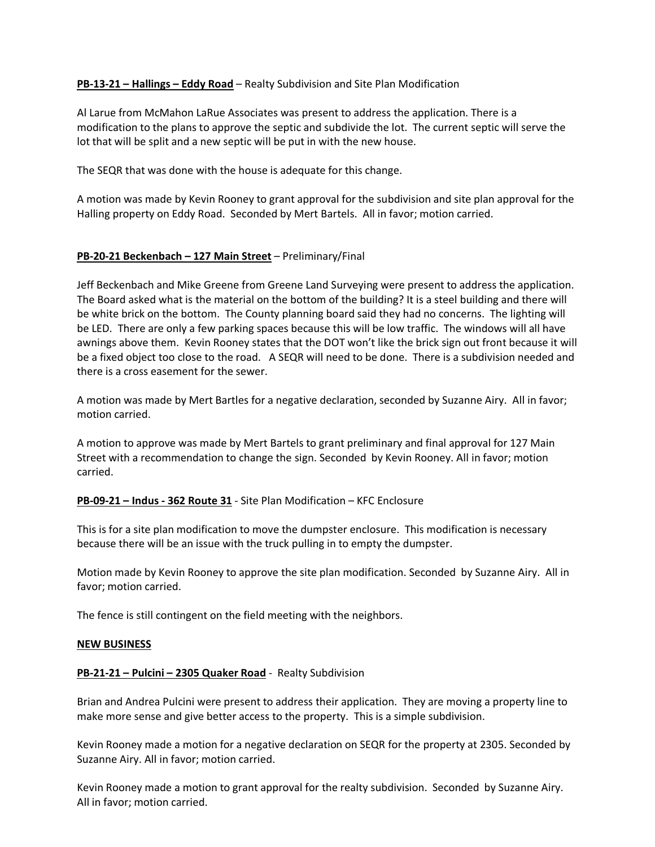## **PB-13-21 – Hallings – Eddy Road** – Realty Subdivision and Site Plan Modification

Al Larue from McMahon LaRue Associates was present to address the application. There is a modification to the plans to approve the septic and subdivide the lot. The current septic will serve the lot that will be split and a new septic will be put in with the new house.

The SEQR that was done with the house is adequate for this change.

A motion was made by Kevin Rooney to grant approval for the subdivision and site plan approval for the Halling property on Eddy Road. Seconded by Mert Bartels. All in favor; motion carried.

# **PB-20-21 Beckenbach – 127 Main Street** – Preliminary/Final

Jeff Beckenbach and Mike Greene from Greene Land Surveying were present to address the application. The Board asked what is the material on the bottom of the building? It is a steel building and there will be white brick on the bottom. The County planning board said they had no concerns. The lighting will be LED. There are only a few parking spaces because this will be low traffic. The windows will all have awnings above them. Kevin Rooney states that the DOT won't like the brick sign out front because it will be a fixed object too close to the road. A SEQR will need to be done. There is a subdivision needed and there is a cross easement for the sewer.

A motion was made by Mert Bartles for a negative declaration, seconded by Suzanne Airy. All in favor; motion carried.

A motion to approve was made by Mert Bartels to grant preliminary and final approval for 127 Main Street with a recommendation to change the sign. Seconded by Kevin Rooney. All in favor; motion carried.

## **PB-09-21 – Indus - 362 Route 31** - Site Plan Modification – KFC Enclosure

This is for a site plan modification to move the dumpster enclosure. This modification is necessary because there will be an issue with the truck pulling in to empty the dumpster.

Motion made by Kevin Rooney to approve the site plan modification. Seconded by Suzanne Airy. All in favor; motion carried.

The fence is still contingent on the field meeting with the neighbors.

## **NEW BUSINESS**

## **PB-21-21 – Pulcini – 2305 Quaker Road** - Realty Subdivision

Brian and Andrea Pulcini were present to address their application. They are moving a property line to make more sense and give better access to the property. This is a simple subdivision.

Kevin Rooney made a motion for a negative declaration on SEQR for the property at 2305. Seconded by Suzanne Airy. All in favor; motion carried.

Kevin Rooney made a motion to grant approval for the realty subdivision. Seconded by Suzanne Airy. All in favor; motion carried.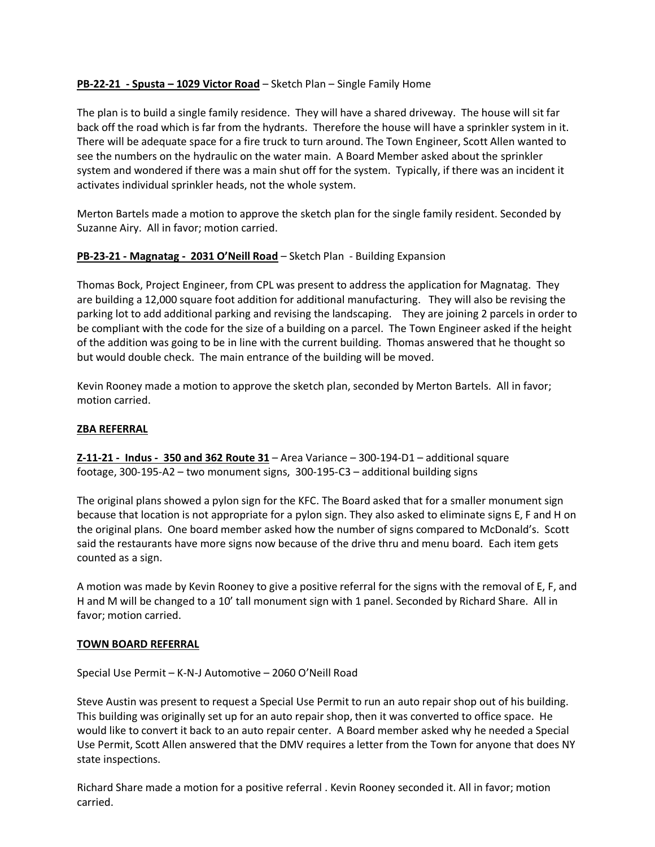# **PB-22-21 - Spusta – 1029 Victor Road** – Sketch Plan – Single Family Home

The plan is to build a single family residence. They will have a shared driveway. The house will sit far back off the road which is far from the hydrants. Therefore the house will have a sprinkler system in it. There will be adequate space for a fire truck to turn around. The Town Engineer, Scott Allen wanted to see the numbers on the hydraulic on the water main. A Board Member asked about the sprinkler system and wondered if there was a main shut off for the system. Typically, if there was an incident it activates individual sprinkler heads, not the whole system.

Merton Bartels made a motion to approve the sketch plan for the single family resident. Seconded by Suzanne Airy. All in favor; motion carried.

# **PB-23-21 - Magnatag - 2031 O'Neill Road** – Sketch Plan - Building Expansion

Thomas Bock, Project Engineer, from CPL was present to address the application for Magnatag. They are building a 12,000 square foot addition for additional manufacturing. They will also be revising the parking lot to add additional parking and revising the landscaping. They are joining 2 parcels in order to be compliant with the code for the size of a building on a parcel. The Town Engineer asked if the height of the addition was going to be in line with the current building. Thomas answered that he thought so but would double check. The main entrance of the building will be moved.

Kevin Rooney made a motion to approve the sketch plan, seconded by Merton Bartels. All in favor; motion carried.

## **ZBA REFERRAL**

**Z-11-21 - Indus - 350 and 362 Route 31** – Area Variance – 300-194-D1 – additional square footage, 300-195-A2 – two monument signs, 300-195-C3 – additional building signs

The original plans showed a pylon sign for the KFC. The Board asked that for a smaller monument sign because that location is not appropriate for a pylon sign. They also asked to eliminate signs E, F and H on the original plans. One board member asked how the number of signs compared to McDonald's. Scott said the restaurants have more signs now because of the drive thru and menu board. Each item gets counted as a sign.

A motion was made by Kevin Rooney to give a positive referral for the signs with the removal of E, F, and H and M will be changed to a 10' tall monument sign with 1 panel. Seconded by Richard Share. All in favor; motion carried.

## **TOWN BOARD REFERRAL**

Special Use Permit – K-N-J Automotive – 2060 O'Neill Road

Steve Austin was present to request a Special Use Permit to run an auto repair shop out of his building. This building was originally set up for an auto repair shop, then it was converted to office space. He would like to convert it back to an auto repair center. A Board member asked why he needed a Special Use Permit, Scott Allen answered that the DMV requires a letter from the Town for anyone that does NY state inspections.

Richard Share made a motion for a positive referral . Kevin Rooney seconded it. All in favor; motion carried.